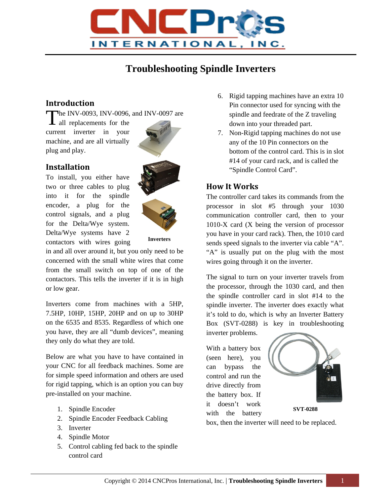

# **Troubleshooting Spindle Inverters**

## **Introduction**

he INV-0093, INV-0096, and INV-0097 are

The INV-0093, INV-0096,<br>all replacements for the current inverter in your machine, and are all virtually plug and play.

#### **Installation**

To install, you either have two or three cables to plug into it for the spindle encoder, a plug for the control signals, and a plug for the Delta/Wye system. Delta/Wye systems have 2 contactors with wires going



**Inverters**

in and all over around it, but you only need to be concerned with the small white wires that come from the small switch on top of one of the contactors. This tells the inverter if it is in high or low gear.

Inverters come from machines with a 5HP, 7.5HP, 10HP, 15HP, 20HP and on up to 30HP on the 6535 and 8535. Regardless of which one you have, they are all "dumb devices", meaning they only do what they are told.

Below are what you have to have contained in your CNC for all feedback machines. Some are for simple speed information and others are used for rigid tapping, which is an option you can buy pre-installed on your machine.

- 1. Spindle Encoder
- 2. Spindle Encoder Feedback Cabling
- 3. Inverter
- 4. Spindle Motor
- 5. Control cabling fed back to the spindle control card
- 6. Rigid tapping machines have an extra 10 Pin connector used for syncing with the spindle and feedrate of the Z traveling down into your threaded part.
- 7. Non-Rigid tapping machines do not use any of the 10 Pin connectors on the bottom of the control card. This is in slot #14 of your card rack, and is called the "Spindle Control Card".

### **How It Works**

The controller card takes its commands from the processor in slot #5 through your 1030 communication controller card, then to your 1010-X card (X being the version of processor you have in your card rack). Then, the 1010 card sends speed signals to the inverter via cable "A". "A" is usually put on the plug with the most wires going through it on the inverter.

The signal to turn on your inverter travels from the processor, through the 1030 card, and then the spindle controller card in slot #14 to the spindle inverter. The inverter does exactly what it's told to do, which is why an Inverter Battery Box (SVT-0288) is key in troubleshooting inverter problems.

With a battery box (seen here), you can bypass the control and run the drive directly from the battery box. If it doesn't work with the battery



**SVT-0288**

box, then the inverter will need to be replaced.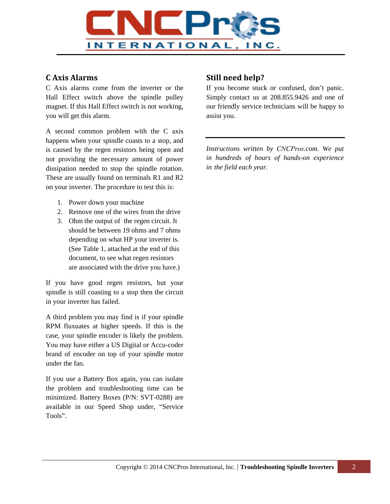

#### **C Axis Alarms**

C Axis alarms come from the inverter or the Hall Effect switch above the spindle pulley magnet. If this Hall Effect switch is not working, you will get this alarm.

A second common problem with the C axis happens when your spindle coasts to a stop, and is caused by the regen resistors being open and not providing the necessary amount of power dissipation needed to stop the spindle rotation. These are usually found on terminals R1 and R2 on your inverter. The procedure to test this is:

- 1. Power down your machine
- 2. Remove one of the wires from the drive
- 3. Ohm the output of the regen circuit. It should be between 19 ohms and 7 ohms depending on what HP your inverter is. (See Table 1, attached at the end of this document, to see what regen resistors are associated with the drive you have.)

If you have good regen resistors, but your spindle is still coasting to a stop then the circuit in your inverter has failed.

A third problem you may find is if your spindle RPM fluxuates at higher speeds. If this is the case, your spindle encoder is likely the problem. You may have either a US Digital or Accu-coder brand of encoder on top of your spindle motor under the fan.

If you use a Battery Box again, you can isolate the problem and troubleshooting time can be minimized. Battery Boxes (P/N: SVT-0288) are available in our Speed Shop under, "Service Tools".

### **Still need help?**

If you become stuck or confused, don't panic. Simply contact us at 208.855.9426 and one of our friendly service technicians will be happy to assist you.

*Instructions written by CNCPros.com. We put in hundreds of hours of hands-on experience in the field each year.*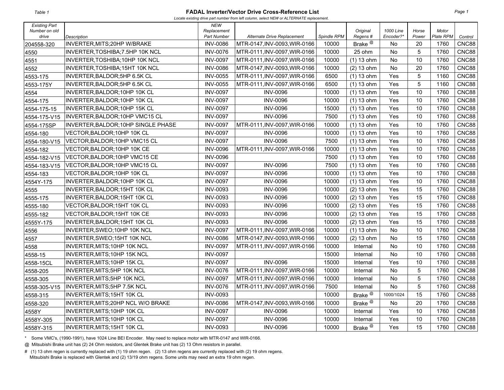#### **FADAL Inverter/Vector Drive Cross-Reference List**

*Locate existing drive part number from left column, select NEW or ALTERNATE replacement.* 

| <b>Existing Part</b>   |                                     | <b>NEW</b>                        |                              |             |                               |                        |                |                    |              |
|------------------------|-------------------------------------|-----------------------------------|------------------------------|-------------|-------------------------------|------------------------|----------------|--------------------|--------------|
| Number on old<br>drive | Description                         | Replacement<br><b>Part Number</b> | Alternate Drive Replacement  | Spindle RPM | Original<br>Regens#           | 1000 Line<br>Encoder?* | Horse<br>Power | Motor<br>Plate RPM | Control      |
| 204558-320             | INVERTER, MITS; 20HP W/BRAKE        | <b>INV-0086</b>                   | MTR-0147, INV-0093, WIR-0166 | 10000       | Brake <sup><sup>@</sup></sup> | No.                    | 20             | 1760               | CNC88        |
| 4550                   | INVERTER, TOSHIBA; 7.5HP 10K NCL    | <b>INV-0076</b>                   | MTR-0111, INV-0097, WIR-0166 | 10000       | 25 ohm                        | <b>No</b>              | 5              | 1760               | <b>CNC88</b> |
| 4551                   | INVERTER, TOSHIBA; 10HP 10K NCL     | <b>INV-0097</b>                   | MTR-0111, INV-0097, WIR-0166 | 10000       | $(1)$ 13 ohm                  | <b>No</b>              | 10             | 1760               | <b>CNC88</b> |
| 4552                   | INVERTER, TOSHIBA; 15HT 10K NCL     | <b>INV-0086</b>                   | MTR-0147, INV-0093, WIR-0166 | 10000       | $(2)$ 13 ohm                  | No                     | 20             | 1760               | CNC88        |
| 4553-175               | INVERTER, BALDOR; 5HP 6.5K CL       | <b>INV-0055</b>                   | MTR-0111, INV-0097, WIR-0166 | 6500        | $(1)$ 13 ohm                  | Yes                    | 5              | 1160               | <b>CNC88</b> |
| 4553-175Y              | INVERTER, BALDOR; 5HP 6.5K CL       | <b>INV-0055</b>                   | MTR-0111, INV-0097, WIR-0166 | 6500        | $(1)$ 13 ohm                  | Yes                    | 5              | 1160               | CNC88        |
| 4554                   | INVERTER, BALDOR; 10HP 10K CL       | <b>INV-0097</b>                   | <b>INV-0096</b>              | 10000       | $(1)$ 13 ohm                  | Yes                    | 10             | 1760               | CNC88        |
| 4554-175               | INVERTER, BALDOR; 10HP 10K CL       | <b>INV-0097</b>                   | <b>INV-0096</b>              | 10000       | $(1)$ 13 ohm                  | Yes                    | 10             | 1760               | <b>CNC88</b> |
| 4554-175-15            | INVERTER, BALDOR; 10HP 15K CL       | <b>INV-0097</b>                   | <b>INV-0096</b>              | 15000       | $(1)$ 13 ohm                  | Yes                    | 10             | 1760               | <b>CNC88</b> |
| 4554-175-V15           | INVERTER, BALDOR; 10HP VMC15 CL     | <b>INV-0097</b>                   | <b>INV-0096</b>              | 7500        | $(1)$ 13 ohm                  | Yes                    | 10             | 1760               | CNC88        |
| 4554-175SP             | INVERTER, BALDOR; 10HP SINGLE PHASE | <b>INV-0097</b>                   | MTR-0111, INV-0097, WIR-0166 | 10000       | $(1)$ 13 ohm                  | Yes                    | 10             | 1760               | <b>CNC88</b> |
| 4554-180               | VECTOR, BALDOR; 10HP 10K CL         | <b>INV-0097</b>                   | <b>INV-0096</b>              | 10000       | $(1)$ 13 ohm                  | Yes                    | 10             | 1760               | <b>CNC88</b> |
| 4554-180-V15           | VECTOR, BALDOR; 10HP VMC15 CL       | <b>INV-0097</b>                   | <b>INV-0096</b>              | 7500        | $(1)$ 13 ohm                  | Yes                    | 10             | 1760               | <b>CNC88</b> |
| 4554-182               | VECTOR, BALDOR; 10HP 10K CE         | <b>INV-0096</b>                   | MTR-0111, INV-0097, WIR-0166 | 10000       | $(1)$ 13 ohm                  | Yes                    | 10             | 1760               | <b>CNC88</b> |
| 4554-182-V15           | VECTOR, BALDOR; 10HP VMC15 CE       | <b>INV-0096</b>                   |                              | 7500        | $(1)$ 13 ohm                  | Yes                    | 10             | 1760               | <b>CNC88</b> |
| 4554-183-V15           | VECTOR, BALDOR; 10HP VMC15 CL       | <b>INV-0097</b>                   | <b>INV-0096</b>              | 7500        | $(1)$ 13 ohm                  | Yes                    | 10             | 1760               | CNC88        |
| 4554-183               | VECTOR, BALDOR; 10HP 10K CL         | <b>INV-0097</b>                   | <b>INV-0096</b>              | 10000       | $(1)$ 13 ohm                  | Yes                    | 10             | 1760               | CNC88        |
| 4554Y-175              | INVERTER, BALDOR; 10HP 10K CL       | <b>INV-0097</b>                   | <b>INV-0096</b>              | 10000       | $(1)$ 13 ohm                  | Yes                    | 10             | 1760               | CNC88        |
| 4555                   | INVERTER, BALDOR; 15HT 10K CL       | <b>INV-0093</b>                   | <b>INV-0096</b>              | 10000       | $(2)$ 13 ohm                  | Yes                    | 15             | 1760               | CNC88        |
| 4555-175               | INVERTER, BALDOR; 15HT 10K CL       | <b>INV-0093</b>                   | <b>INV-0096</b>              | 10000       | $(2)$ 13 ohm                  | Yes                    | 15             | 1760               | CNC88        |
| 4555-180               | VECTOR, BALDOR; 15HT 10K CL         | <b>INV-0093</b>                   | <b>INV-0096</b>              | 10000       | $(2)$ 13 ohm                  | Yes                    | 15             | 1760               | CNC88        |
| 4555-182               | VECTOR, BALDOR; 15HT 10K CE         | <b>INV-0093</b>                   | <b>INV-0096</b>              | 10000       | $(2)$ 13 ohm                  | Yes                    | 15             | 1760               | <b>CNC88</b> |
| 4555Y-175              | INVERTER, BALDOR; 15HT 10K CL       | <b>INV-0093</b>                   | <b>INV-0096</b>              | 10000       | $(2)$ 13 ohm                  | Yes                    | 15             | 1760               | <b>CNC88</b> |
| 4556                   | INVERTER, SWEO; 10HP 10K NCL        | <b>INV-0097</b>                   | MTR-0111, INV-0097, WIR-0166 | 10000       | $(1)$ 13 ohm                  | <b>No</b>              | 10             | 1760               | CNC88        |
| 4557                   | INVERTER, SWEO; 15HT 10K NCL        | <b>INV-0086</b>                   | MTR-0147, INV-0093, WIR-0166 | 10000       | $(2)$ 13 ohm                  | No                     | 15             | 1760               | <b>CNC88</b> |
| 4558                   | INVERTER, MITS; 10HP 10K NCL        | <b>INV-0097</b>                   | MTR-0111, INV-0097, WIR-0166 | 10000       | Internal                      | <b>No</b>              | 10             | 1760               | CNC88        |
| 4558-15                | INVERTER, MITS; 10HP 15K NCL        | <b>INV-0097</b>                   |                              | 15000       | Internal                      | No                     | 10             | 1760               | <b>CNC88</b> |
| 4558-15CL              | INVERTER, MITS; 10HP 15K CL         | <b>INV-0097</b>                   | <b>INV-0096</b>              | 15000       | Internal                      | Yes                    | 10             | 1760               | <b>CNC88</b> |
| 4558-205               | INVERTER, MITS; 5HP 10K NCL         | <b>INV-0076</b>                   | MTR-0111, INV-0097, WIR-0166 | 10000       | Internal                      | No                     | 5              | 1760               | <b>CNC88</b> |
| 4558-305               | INVERTER, MITS; 5HP 10K NCL         | <b>INV-0097</b>                   | MTR-0111, INV-0097, WIR-0166 | 10000       | Internal                      | <b>No</b>              | 5              | 1760               | CNC88        |
| 4558-305-V15           | INVERTER, MITS; 5HP 7.5K NCL        | <b>INV-0076</b>                   | MTR-0111, INV-0097, WIR-0166 | 7500        | Internal                      | <b>No</b>              | 5              | 1760               | <b>CNC88</b> |
| 4558-315               | INVERTER, MITS; 15HT 10K CL         | <b>INV-0093</b>                   |                              | 10000       | Brake <sup><sup>@</sup></sup> | 1000/1024              | 15             | 1760               | <b>CNC88</b> |
| 4558-320               | INVERTER, MITS; 20HP NCL W/O BRAKE  | <b>INV-0086</b>                   | MTR-0147, INV-0093, WIR-0166 | 10000       | Brake <sup><sup>@</sup></sup> | No                     | 20             | 1760               | <b>CNC88</b> |
| 4558Y                  | INVERTER, MITS; 10HP 10K CL         | <b>INV-0097</b>                   | <b>INV-0096</b>              | 10000       | Internal                      | Yes                    | 10             | 1760               | CNC88        |
| 4558Y-305              | INVERTER, MITS; 10HP 10K CL         | <b>INV-0097</b>                   | <b>INV-0096</b>              | 10000       | Internal                      | Yes                    | 10             | 1760               | CNC88        |
| 4558Y-315              | INVERTER, MITS; 15HT 10K CL         | <b>INV-0093</b>                   | <b>INV-0096</b>              | 10000       | Brake <sup>@</sup>            | Yes                    | 15             | 1760               | CNC88        |

\* Some VMC's, (1990-1991), have 1024 Line BEI Encoder. May need to replace motor with MTR-0147 and WIR-0166.

@ Mitsubishi Brake unit has (2) 24 Ohm resistors, and Glentek Brake unit has (2) 13 Ohm resistors in parallel.

# (1) 13 ohm regen is currently replaced with (1) 19 ohm regen. (2) 13 ohm regens are currently replaced with (2) 19 ohm regens. Mitsubishi Brake is replaced with Glentek and (2) 13/19 ohm regens. Some units may need an extra 19 ohm regen.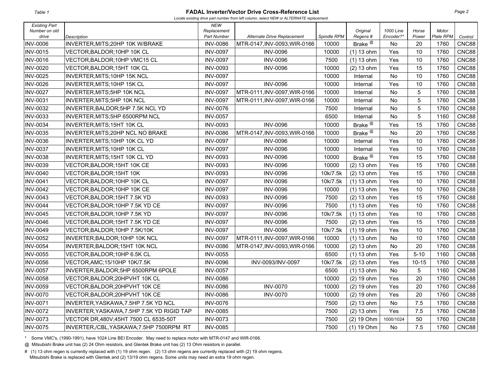#### **FADAL Inverter/Vector Drive Cross-Reference List**

*Locate existing drive part number from left column, select NEW or ALTERNATE replacement.* 

| <b>Existing Part</b>   |                                            | <b>NEW</b>                        |                              |             |                               |                        |                |                    |              |
|------------------------|--------------------------------------------|-----------------------------------|------------------------------|-------------|-------------------------------|------------------------|----------------|--------------------|--------------|
| Number on old<br>drive | <b>Description</b>                         | Replacement<br><b>Part Number</b> | Alternate Drive Replacement  | Spindle RPM | Original<br>Regens#           | 1000 Line<br>Encoder?* | Horse<br>Power | Motor<br>Plate RPM | Control      |
| <b>INV-0006</b>        | INVERTER, MITS; 20HP 10K W/BRAKE           | <b>INV-0086</b>                   | MTR-0147, INV-0093, WIR-0166 | 10000       | Brake <sup>@</sup>            | No                     | 20             | 1760               | CNC88        |
| <b>INV-0015</b>        | VECTOR, BALDOR; 10HP 10K CL                | <b>INV-0097</b>                   | <b>INV-0096</b>              | 10000       | $(1)$ 13 ohm                  | Yes                    | 10             | 1760               | CNC88        |
| <b>INV-0016</b>        | VECTOR, BALDOR; 10HP VMC15 CL              | <b>INV-0097</b>                   | <b>INV-0096</b>              | 7500        | $(1)$ 13 ohm                  | Yes                    | 10             | 1760               | <b>CNC88</b> |
| <b>INV-0020</b>        | VECTOR, BALDOR; 15HT 10K CL                | <b>INV-0093</b>                   | <b>INV-0096</b>              | 10000       | $(2)$ 13 ohm                  | Yes                    | 15             | 1760               | CNC88        |
| <b>INV-0025</b>        | INVERTER, MITS; 10HP 15K NCL               | <b>INV-0097</b>                   |                              | 10000       | Internal                      | <b>No</b>              | 10             | 1760               | CNC88        |
| <b>INV-0026</b>        | INVERTER, MITS; 10HP 15K CL                | <b>INV-0097</b>                   | <b>INV-0096</b>              | 10000       | Internal                      | Yes                    | 10             | 1760               | CNC88        |
| <b>INV-0027</b>        | INVERTER, MITS; 5HP 10K NCL                | <b>INV-0097</b>                   | MTR-0111, INV-0097, WIR-0166 | 10000       | Internal                      | <b>No</b>              | 5              | 1760               | CNC88        |
| <b>INV-0031</b>        | INVERTER, MITS; 5HP 10K NCL                | <b>INV-0097</b>                   | MTR-0111, INV-0097, WIR-0166 | 10000       | Internal                      | <b>No</b>              | 5              | 1760               | CNC88        |
| <b>INV-0032</b>        | INVERTER, BALDOR; 5HP 7.5K NCL YD          | <b>INV-0076</b>                   |                              | 7500        | Internal                      | No                     | 5              | 1760               | CNC88        |
| <b>INV-0033</b>        | INVERTER, MITS; 5HP 6500RPM NCL            | <b>INV-0057</b>                   |                              | 6500        | Internal                      | No                     | 5              | 1160               | CNC88        |
| <b>INV-0034</b>        | INVERTER, MITS; 15HT 10K CL                | <b>INV-0093</b>                   | <b>INV-0096</b>              | 10000       | Brake <sup><sup>@</sup></sup> | Yes                    | 15             | 1760               | CNC88        |
| <b>INV-0035</b>        | INVERTER, MITS; 20HP NCL NO BRAKE          | <b>INV-0086</b>                   | MTR-0147, INV-0093, WIR-0166 | 10000       | Brake <sup><sup>@</sup></sup> | <b>No</b>              | 20             | 1760               | CNC88        |
| <b>INV-0036</b>        | INVERTER, MITS; 10HP 10K CL YD             | <b>INV-0097</b>                   | <b>INV-0096</b>              | 10000       | Internal                      | Yes                    | 10             | 1760               | CNC88        |
| <b>INV-0037</b>        | INVERTER, MITS; 10HP 10K CL                | <b>INV-0097</b>                   | <b>INV-0096</b>              | 10000       | Internal                      | Yes                    | 10             | 1760               | CNC88        |
| <b>INV-0038</b>        | INVERTER, MITS; 15HT 10K CL YD             | <b>INV-0093</b>                   | <b>INV-0096</b>              | 10000       | Brake <sup><sup>@</sup></sup> | Yes                    | 15             | 1760               | <b>CNC88</b> |
| <b>INV-0039</b>        | VECTOR, BALDOR; 15HT 10K CE                | <b>INV-0093</b>                   | <b>INV-0096</b>              | 10000       | $(2)$ 13 ohm                  | Yes                    | 15             | 1760               | <b>CNC88</b> |
| <b>INV-0040</b>        | VECTOR, BALDOR; 15HT 10K                   | <b>INV-0093</b>                   | <b>INV-0096</b>              | 10k/7.5k    | $(2)$ 13 ohm                  | Yes                    | 15             | 1760               | <b>CNC88</b> |
| <b>INV-0041</b>        | VECTOR, BALDOR; 10HP 10K CL                | <b>INV-0097</b>                   | <b>INV-0096</b>              | 10k/7.5k    | $(1)$ 13 ohm                  | Yes                    | 10             | 1760               | <b>CNC88</b> |
| <b>INV-0042</b>        | VECTOR, BALDOR; 10HP 10K CE                | <b>INV-0097</b>                   | <b>INV-0096</b>              | 10000       | $(1)$ 13 ohm                  | Yes                    | 10             | 1760               | CNC88        |
| <b>INV-0043</b>        | VECTOR, BALDOR; 15HT 7.5K YD               | <b>INV-0093</b>                   | <b>INV-0096</b>              | 7500        | $(2)$ 13 ohm                  | Yes                    | 15             | 1760               | CNC88        |
| <b>INV-0044</b>        | VECTOR, BALDOR; 10HP 7.5K YD CE            | <b>INV-0097</b>                   | <b>INV-0096</b>              | 7500        | $(1)$ 13 ohm                  | Yes                    | 10             | 1760               | CNC88        |
| <b>INV-0045</b>        | VECTOR, BALDOR; 10HP 7.5K YD               | <b>INV-0097</b>                   | <b>INV-0096</b>              | 10k/7.5k    | $(1)$ 13 ohm                  | Yes                    | 10             | 1760               | CNC88        |
| <b>INV-0046</b>        | VECTOR, BALDOR; 15HT 7.5K YD CE            | <b>INV-0097</b>                   | <b>INV-0096</b>              | 7500        | (2) 13 ohm                    | Yes                    | 15             | 1760               | CNC88        |
| <b>INV-0049</b>        | VECTOR, BALDOR; 10HP 7.5K/10K              | <b>INV-0097</b>                   | <b>INV-0096</b>              | 10k/7.5k    | $(1)$ 19 ohm                  | Yes                    | 10             | 1760               | CNC88        |
| <b>INV-0052</b>        | INVERTER, BALDOR; 10HP 10K NCL             | <b>INV-0097</b>                   | MTR-0111, INV-0097, WIR-0166 | 10000       | $(1)$ 13 ohm                  | No                     | 10             | 1760               | CNC88        |
| <b>INV-0054</b>        | INVERTER, BALDOR; 15HT 10K NCL             | <b>INV-0086</b>                   | MTR-0147, INV-0093, WIR-0166 | 10000       | $(2)$ 13 ohm                  | No                     | 20             | 1760               | <b>CNC88</b> |
| <b>INV-0055</b>        | VECTOR,BALDOR:10HP 6.5K CL                 | <b>INV-0055</b>                   |                              | 6500        | $(1)$ 13 ohm                  | Yes                    | $5 - 10$       | 1160               | CNC88        |
| <b>INV-0056</b>        | VECTOR, AMC; 15/10HP 10K/7.5K              | <b>INV-0096</b>                   | INV-0093/INV-0097            | 10k/7.5k    | $(2)$ 13 ohm                  | Yes                    | $10 - 15$      | 1760               | <b>CNC88</b> |
| <b>INV-0057</b>        | INVERTER, BALDOR; 5HP 6500RPM 6POLE        | <b>INV-0057</b>                   |                              | 6500        | $(1)$ 13 ohm                  | No                     | 5              | 1160               | CNC88        |
| <b>INV-0058</b>        | VECTOR, BALDOR; 20HPVHT 10K CL             | <b>INV-0086</b>                   |                              | 10000       | $(2)$ 19 ohm                  | Yes                    | 20             | 1760               | CNC88        |
| <b>INV-0059</b>        | VECTOR, BALDOR; 20HPVHT 10K CE             | <b>INV-0086</b>                   | <b>INV-0070</b>              | 10000       | (2) 19 ohm                    | Yes                    | 20             | 1760               | CNC88        |
| <b>INV-0070</b>        | VECTOR, BALDOR; 20HPVHT 10K CE             | <b>INV-0086</b>                   | <b>INV-0070</b>              | 10000       | $(2)$ 19 ohm                  | Yes                    | 20             | 1760               | <b>CNC88</b> |
| <b>INV-0071</b>        | INVERTER, YASKAWA, 7.5HP 7.5K YD NCL       | <b>INV-0076</b>                   |                              | 7500        | $(2)$ 13 ohm                  | No                     | 7.5            | 1760               | CNC88        |
| <b>INV-0072</b>        | INVERTER, YASKAWA, 7.5HP 7.5K YD RIGID TAP | <b>INV-0085</b>                   |                              | 7500        | $(2)$ 13 ohm                  | Yes                    | 7.5            | 1760               | CNC88        |
| <b>INV-0073</b>        | VECTOR DR,480V;45HT 7500 CL 6535-50T       | <b>INV-0073</b>                   |                              | 7500        | $(2)$ 19 Ohm                  | 1000/1024              | 50             | 1760               | CNC88        |
| <b>INV-0075</b>        | INVERTER,/CBL,YASKAWA;7.5HP 7500RPM RT     | <b>INV-0085</b>                   |                              | 7500        | $(1)$ 19 Ohm                  | No                     | 7.5            | 1760               | CNC88        |

\* Some VMC's, (1990-1991), have 1024 Line BEI Encoder. May need to replace motor with MTR-0147 and WIR-0166.

@ Mitsubishi Brake unit has (2) 24 Ohm resistors, and Glentek Brake unit has (2) 13 Ohm resistors in parallel.

# (1) 13 ohm regen is currently replaced with (1) 19 ohm regen. (2) 13 ohm regens are currently replaced with (2) 19 ohm regens. Mitsubishi Brake is replaced with Glentek and (2) 13/19 ohm regens. Some units may need an extra 19 ohm regen.